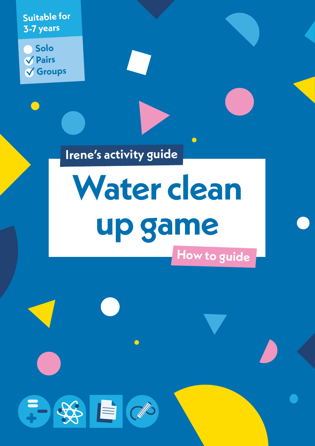**Suitable for 3-7 years**

**Solo Pairs Groups**

第9日1日

**Irene's activity guide**

# **Water clean up game How to guide**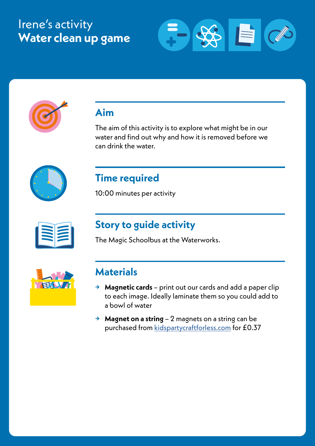## Irene's activity **Water clean up game**





## **Aim**

The aim of this activity is to explore what might be in our water and find out why and how it is removed before we can drink the water.



## **Time required**

10:00 minutes per activity

## **Story to guide activity**

The Magic Schoolbus at the Waterworks.

| ELVIT |
|-------|
|       |

## **Materials**

- **→ Magnetic cards** print out our cards and add a paper clip to each image. Ideally laminate them so you could add to a bowl of water
- **→ Magnet on a string**  2 magnets on a string can be purchased from [kidspartycraftforless.com](https://kidspartycraftforless.com/products/mini-fishing-game?_pos=7&_sid=898606446&_ss=r) for £0.37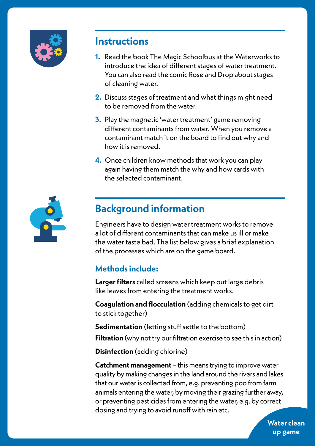

### **Instructions**

- **1.** Read the book The Magic Schoolbus at the Waterworks to introduce the idea of different stages of water treatment. You can also read the comic Rose and Drop about stages of cleaning water.
- **2.** Discuss stages of treatment and what things might need to be removed from the water.
- **3.** Play the magnetic 'water treatment' game removing different contaminants from water. When you remove a contaminant match it on the board to find out why and how it is removed.
- **4.** Once children know methods that work you can play again having them match the why and how cards with the selected contaminant.



## **Background information**

Engineers have to design water treatment works to remove a lot of different contaminants that can make us ill or make the water taste bad. The list below gives a brief explanation of the processes which are on the game board.

#### **Methods include:**

**Larger filters** called screens which keep out large debris like leaves from entering the treatment works.

**Coagulation and flocculation** (adding chemicals to get dirt to stick together)

**Sedimentation** (letting stuff settle to the bottom)

**Filtration** (why not try our filtration exercise to see this in action)

**Disinfection** (adding chlorine)

**Catchment management** – this means trying to improve water quality by making changes in the land around the rivers and lakes that our water is collected from, e.g. preventing poo from farm animals entering the water, by moving their grazing further away, or preventing pesticides from entering the water, e.g. by correct dosing and trying to avoid runoff with rain etc.

> **Water clean up game**